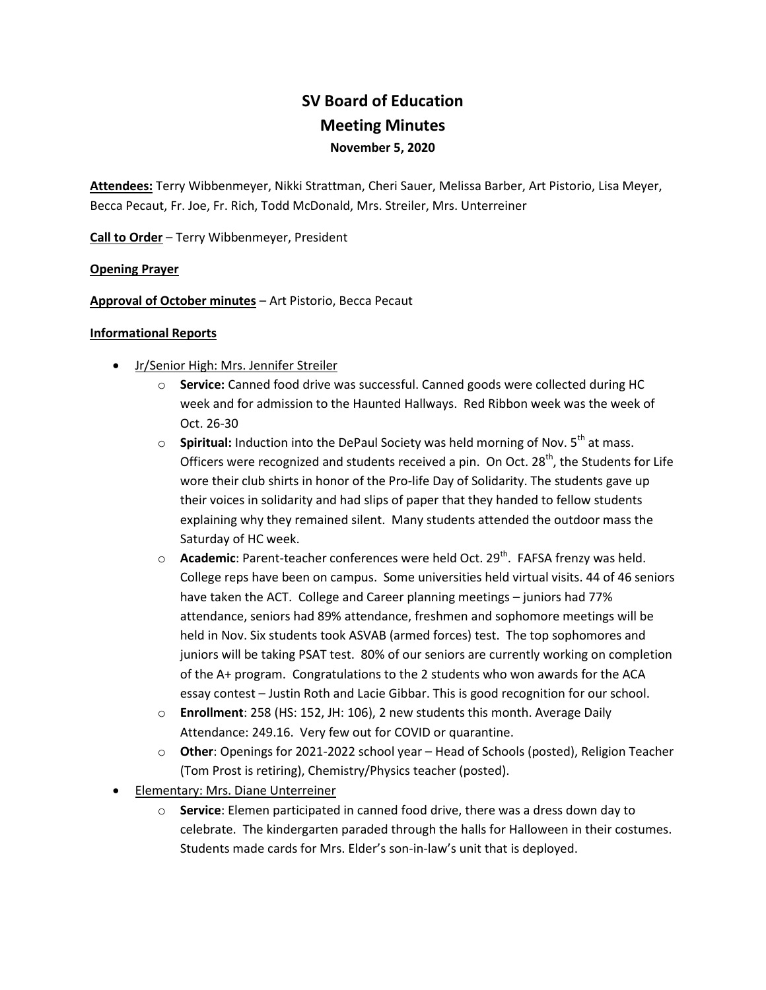# **SV Board of Education Meeting Minutes November 5, 2020**

**Attendees:** Terry Wibbenmeyer, Nikki Strattman, Cheri Sauer, Melissa Barber, Art Pistorio, Lisa Meyer, Becca Pecaut, Fr. Joe, Fr. Rich, Todd McDonald, Mrs. Streiler, Mrs. Unterreiner

**Call to Order** – Terry Wibbenmeyer, President

## **Opening Prayer**

**Approval of October minutes** – Art Pistorio, Becca Pecaut

## **Informational Reports**

- Jr/Senior High: Mrs. Jennifer Streiler
	- o **Service:** Canned food drive was successful. Canned goods were collected during HC week and for admission to the Haunted Hallways. Red Ribbon week was the week of Oct. 26-30
	- o **Spiritual:** Induction into the DePaul Society was held morning of Nov. 5<sup>th</sup> at mass. Officers were recognized and students received a pin. On Oct. 28<sup>th</sup>, the Students for Life wore their club shirts in honor of the Pro-life Day of Solidarity. The students gave up their voices in solidarity and had slips of paper that they handed to fellow students explaining why they remained silent. Many students attended the outdoor mass the Saturday of HC week.
	- o **Academic**: Parent-teacher conferences were held Oct. 29<sup>th</sup>. FAFSA frenzy was held. College reps have been on campus. Some universities held virtual visits. 44 of 46 seniors have taken the ACT. College and Career planning meetings – juniors had 77% attendance, seniors had 89% attendance, freshmen and sophomore meetings will be held in Nov. Six students took ASVAB (armed forces) test. The top sophomores and juniors will be taking PSAT test. 80% of our seniors are currently working on completion of the A+ program. Congratulations to the 2 students who won awards for the ACA essay contest – Justin Roth and Lacie Gibbar. This is good recognition for our school.
	- o **Enrollment**: 258 (HS: 152, JH: 106), 2 new students this month. Average Daily Attendance: 249.16. Very few out for COVID or quarantine.
	- o **Other**: Openings for 2021-2022 school year Head of Schools (posted), Religion Teacher (Tom Prost is retiring), Chemistry/Physics teacher (posted).
- Elementary: Mrs. Diane Unterreiner
	- o **Service**: Elemen participated in canned food drive, there was a dress down day to celebrate. The kindergarten paraded through the halls for Halloween in their costumes. Students made cards for Mrs. Elder's son-in-law's unit that is deployed.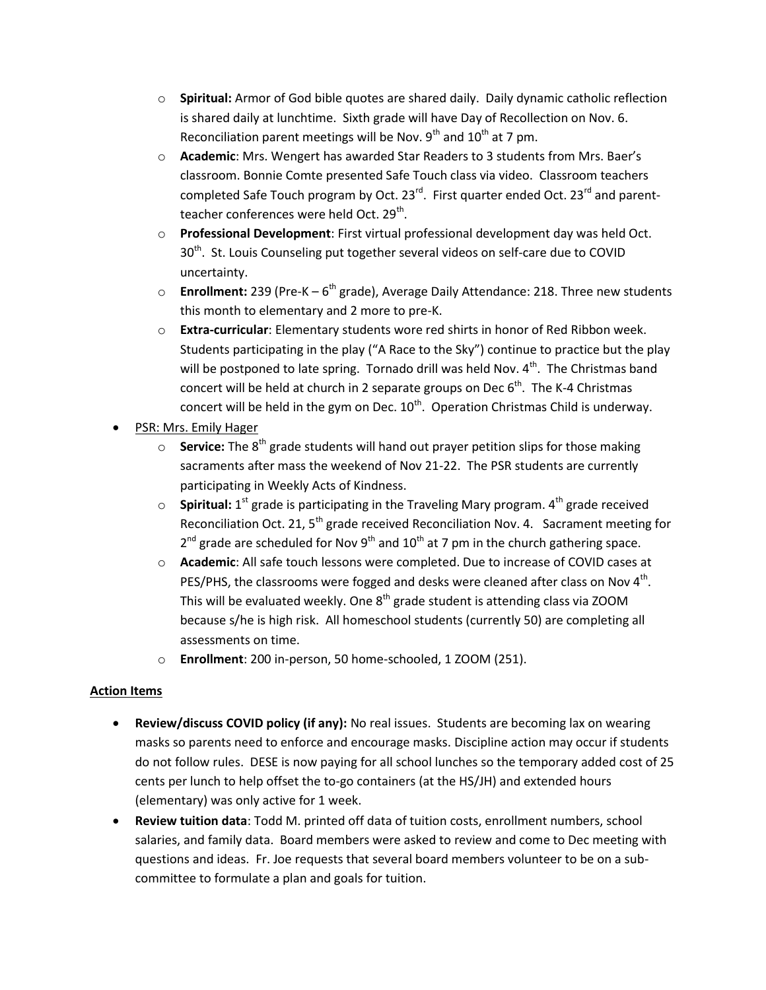- o **Spiritual:** Armor of God bible quotes are shared daily. Daily dynamic catholic reflection is shared daily at lunchtime. Sixth grade will have Day of Recollection on Nov. 6. Reconciliation parent meetings will be Nov.  $9<sup>th</sup>$  and  $10<sup>th</sup>$  at 7 pm.
- o **Academic**: Mrs. Wengert has awarded Star Readers to 3 students from Mrs. Baer's classroom. Bonnie Comte presented Safe Touch class via video. Classroom teachers completed Safe Touch program by Oct. 23<sup>rd</sup>. First quarter ended Oct. 23<sup>rd</sup> and parentteacher conferences were held Oct. 29<sup>th</sup>.
- o **Professional Development**: First virtual professional development day was held Oct. 30<sup>th</sup>. St. Louis Counseling put together several videos on self-care due to COVID uncertainty.
- **Enrollment:** 239 (Pre-K 6<sup>th</sup> grade), Average Daily Attendance: 218. Three new students this month to elementary and 2 more to pre-K.
- o **Extra-curricular**: Elementary students wore red shirts in honor of Red Ribbon week. Students participating in the play ("A Race to the Sky") continue to practice but the play will be postponed to late spring. Tornado drill was held Nov.  $4<sup>th</sup>$ . The Christmas band concert will be held at church in 2 separate groups on Dec  $6<sup>th</sup>$ . The K-4 Christmas concert will be held in the gym on Dec.  $10^{\text{th}}$ . Operation Christmas Child is underway.
- PSR: Mrs. Emily Hager
	- o **Service:** The 8<sup>th</sup> grade students will hand out prayer petition slips for those making sacraments after mass the weekend of Nov 21-22. The PSR students are currently participating in Weekly Acts of Kindness.
	- $\circ$  **Spiritual:** 1<sup>st</sup> grade is participating in the Traveling Mary program. 4<sup>th</sup> grade received Reconciliation Oct. 21,  $5<sup>th</sup>$  grade received Reconciliation Nov. 4. Sacrament meeting for  $2^{nd}$  grade are scheduled for Nov 9<sup>th</sup> and 10<sup>th</sup> at 7 pm in the church gathering space.
	- o **Academic**: All safe touch lessons were completed. Due to increase of COVID cases at PES/PHS, the classrooms were fogged and desks were cleaned after class on Nov  $4<sup>th</sup>$ . This will be evaluated weekly. One  $8<sup>th</sup>$  grade student is attending class via ZOOM because s/he is high risk. All homeschool students (currently 50) are completing all assessments on time.
	- o **Enrollment**: 200 in-person, 50 home-schooled, 1 ZOOM (251).

# **Action Items**

- **Review/discuss COVID policy (if any):** No real issues. Students are becoming lax on wearing masks so parents need to enforce and encourage masks. Discipline action may occur if students do not follow rules. DESE is now paying for all school lunches so the temporary added cost of 25 cents per lunch to help offset the to-go containers (at the HS/JH) and extended hours (elementary) was only active for 1 week.
- **Review tuition data**: Todd M. printed off data of tuition costs, enrollment numbers, school salaries, and family data. Board members were asked to review and come to Dec meeting with questions and ideas. Fr. Joe requests that several board members volunteer to be on a subcommittee to formulate a plan and goals for tuition.